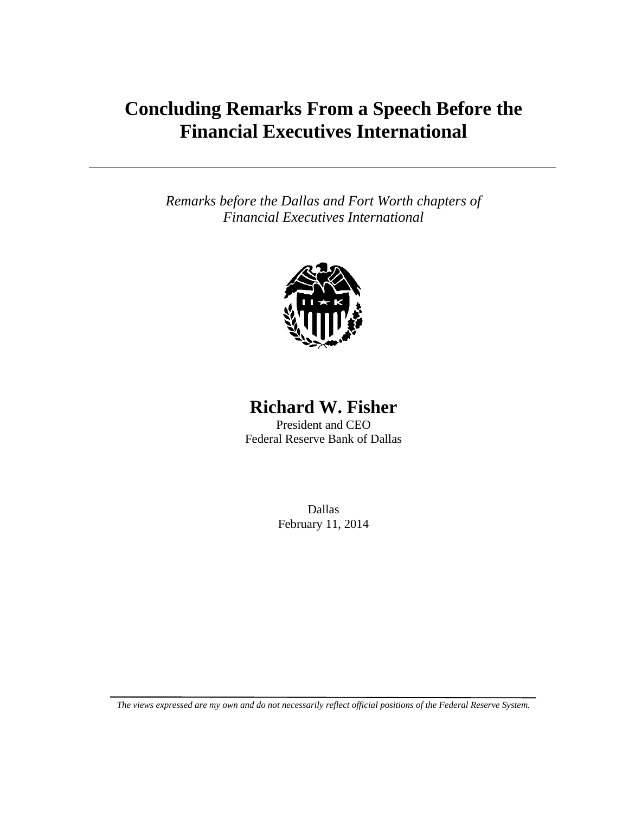# **Concluding Remarks From a Speech Before the Financial Executives International**

*Remarks before the Dallas and Fort Worth chapters of Financial Executives International* 



### **Richard W. Fisher**

President and CEO Federal Reserve Bank of Dallas

> Dallas February 11, 2014

*The views expressed are my own and do not necessarily reflect official positions of the Federal Reserve System.*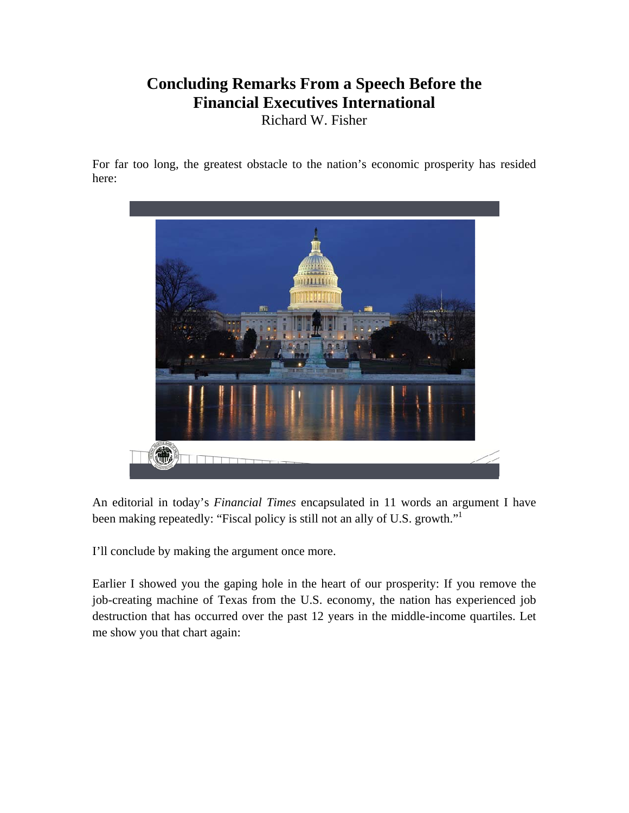## **Concluding Remarks From a Speech Before the Financial Executives International**

Richard W. Fisher

For far too long, the greatest obstacle to the nation's economic prosperity has resided here:



An editorial in today's *Financial Times* encapsulated in 11 words an argument I have been making repeatedly: "Fiscal policy is still not an ally of U.S. growth."1

I'll conclude by making the argument once more.

Earlier I showed you the gaping hole in the heart of our prosperity: If you remove the job-creating machine of Texas from the U.S. economy, the nation has experienced job destruction that has occurred over the past 12 years in the middle-income quartiles. Let me show you that chart again: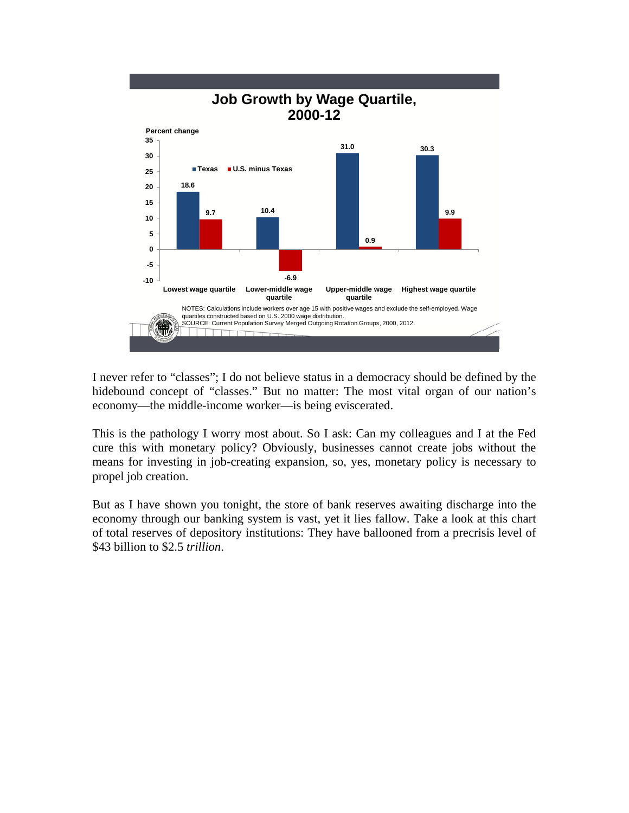

I never refer to "classes"; I do not believe status in a democracy should be defined by the hidebound concept of "classes." But no matter: The most vital organ of our nation's economy—the middle-income worker—is being eviscerated.

This is the pathology I worry most about. So I ask: Can my colleagues and I at the Fed cure this with monetary policy? Obviously, businesses cannot create jobs without the means for investing in job-creating expansion, so, yes, monetary policy is necessary to propel job creation.

But as I have shown you tonight, the store of bank reserves awaiting discharge into the economy through our banking system is vast, yet it lies fallow. Take a look at this chart of total reserves of depository institutions: They have ballooned from a precrisis level of \$43 billion to \$2.5 *trillion*.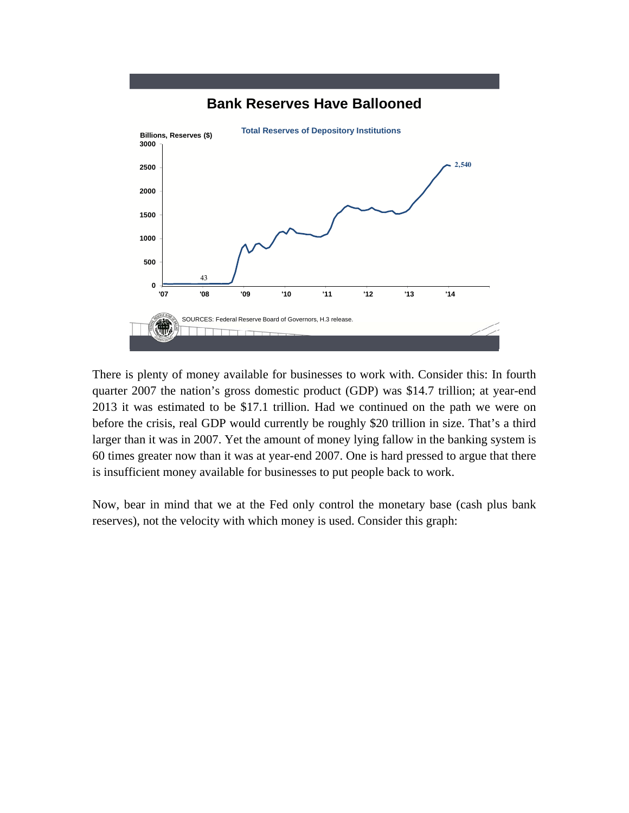

#### **Bank Reserves Have Ballooned**

There is plenty of money available for businesses to work with. Consider this: In fourth quarter 2007 the nation's gross domestic product (GDP) was \$14.7 trillion; at year-end 2013 it was estimated to be \$17.1 trillion. Had we continued on the path we were on before the crisis, real GDP would currently be roughly \$20 trillion in size. That's a third larger than it was in 2007. Yet the amount of money lying fallow in the banking system is 60 times greater now than it was at year-end 2007. One is hard pressed to argue that there is insufficient money available for businesses to put people back to work.

Now, bear in mind that we at the Fed only control the monetary base (cash plus bank reserves), not the velocity with which money is used. Consider this graph: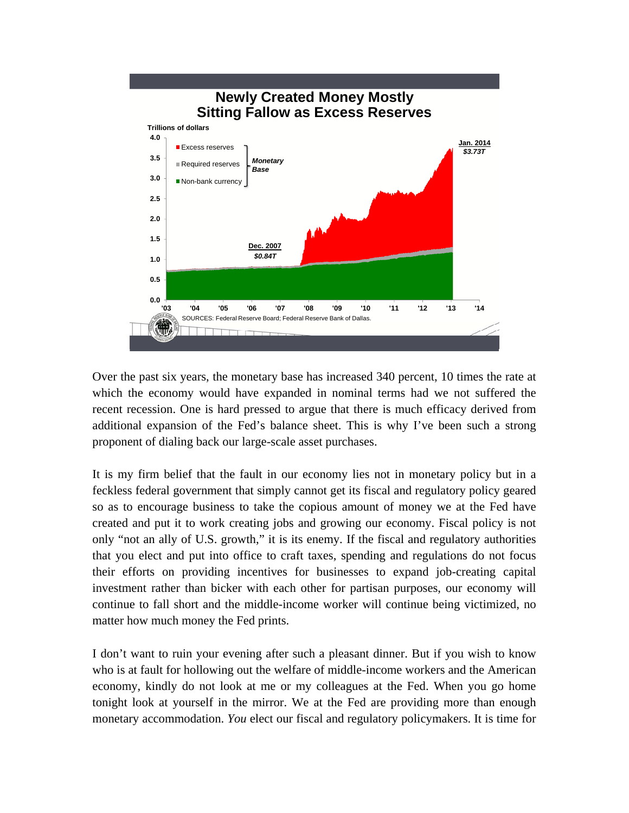

Over the past six years, the monetary base has increased 340 percent, 10 times the rate at which the economy would have expanded in nominal terms had we not suffered the recent recession. One is hard pressed to argue that there is much efficacy derived from additional expansion of the Fed's balance sheet. This is why I've been such a strong proponent of dialing back our large-scale asset purchases.

It is my firm belief that the fault in our economy lies not in monetary policy but in a feckless federal government that simply cannot get its fiscal and regulatory policy geared so as to encourage business to take the copious amount of money we at the Fed have created and put it to work creating jobs and growing our economy. Fiscal policy is not only "not an ally of U.S. growth," it is its enemy. If the fiscal and regulatory authorities that you elect and put into office to craft taxes, spending and regulations do not focus their efforts on providing incentives for businesses to expand job-creating capital investment rather than bicker with each other for partisan purposes, our economy will continue to fall short and the middle-income worker will continue being victimized, no matter how much money the Fed prints.

I don't want to ruin your evening after such a pleasant dinner. But if you wish to know who is at fault for hollowing out the welfare of middle-income workers and the American economy, kindly do not look at me or my colleagues at the Fed. When you go home tonight look at yourself in the mirror. We at the Fed are providing more than enough monetary accommodation. *You* elect our fiscal and regulatory policymakers. It is time for